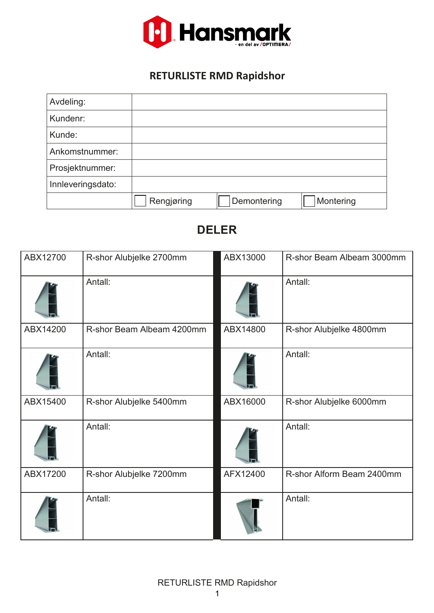

## **RETURLISTE RMD Rapidshor**

| Avdeling:         |            |             |           |
|-------------------|------------|-------------|-----------|
| Kundenr:          |            |             |           |
| Kunde:            |            |             |           |
| Ankomstnummer:    |            |             |           |
| Prosjektnummer:   |            |             |           |
| Innleveringsdato: |            |             |           |
|                   | Rengjøring | Demontering | Montering |

| ABX12700 | R-shor Alubjelke 2700mm   | ABX13000 | R-shor Beam Albeam 3000mm |
|----------|---------------------------|----------|---------------------------|
|          | Antall:                   |          | Antall:                   |
| ABX14200 | R-shor Beam Albeam 4200mm | ABX14800 | R-shor Alubjelke 4800mm   |
|          | Antall:                   |          | Antall:                   |
| ABX15400 | R-shor Alubjelke 5400mm   | ABX16000 | R-shor Alubjelke 6000mm   |
|          | Antall:                   |          | Antall:                   |
| ABX17200 | R-shor Alubjelke 7200mm   | AFX12400 | R-shor Alform Beam 2400mm |
|          | Antall:                   |          | Antall:                   |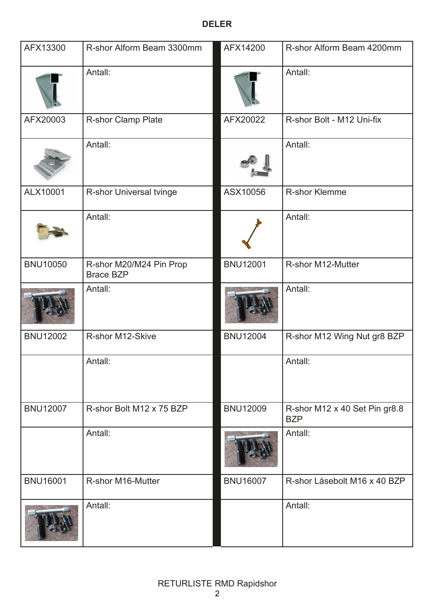| AFX13300        | R-shor Alform Beam 3300mm                   | AFX14200        | R-shor Alform Beam 4200mm                   |
|-----------------|---------------------------------------------|-----------------|---------------------------------------------|
|                 | Antall:                                     |                 | Antall:                                     |
| AFX20003        | R-shor Clamp Plate                          | AFX20022        | R-shor Bolt - M12 Uni-fix                   |
|                 | Antall:                                     |                 | Antall:                                     |
| ALX10001        | R-shor Universal tvinge                     | ASX10056        | <b>R-shor Klemme</b>                        |
|                 | Antall:                                     |                 | Antall:                                     |
| <b>BNU10050</b> | R-shor M20/M24 Pin Prop<br><b>Brace BZP</b> | <b>BNU12001</b> | R-shor M12-Mutter                           |
|                 | Antall:                                     |                 | Antall:                                     |
| <b>BNU12002</b> | R-shor M12-Skive                            | <b>BNU12004</b> | R-shor M12 Wing Nut gr8 BZP                 |
|                 | Antall:                                     |                 | Antall:                                     |
| <b>BNU12007</b> | R-shor Bolt M12 x 75 BZP                    | <b>BNU12009</b> | R-shor M12 x 40 Set Pin gr8.8<br><b>BZP</b> |
|                 | Antall:                                     |                 | Antall:                                     |
| <b>BNU16001</b> | R-shor M16-Mutter                           | <b>BNU16007</b> | R-shor Låsebolt M16 x 40 BZP                |
|                 | Antall:                                     |                 | Antall:                                     |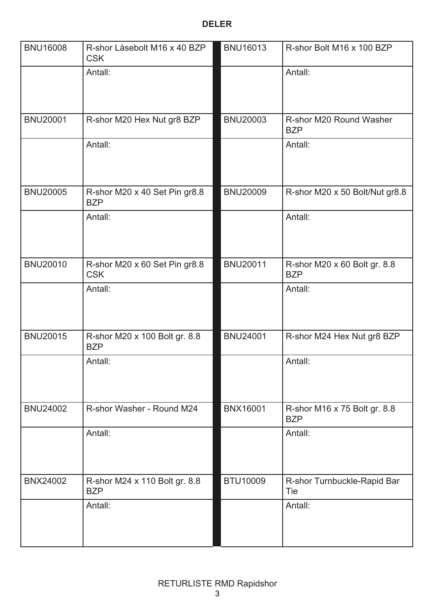| <b>BNU16008</b> | R-shor Låsebolt M16 x 40 BZP<br><b>CSK</b>  | <b>BNU16013</b> | R-shor Bolt M16 x 100 BZP                  |
|-----------------|---------------------------------------------|-----------------|--------------------------------------------|
|                 | Antall:                                     |                 | Antall:                                    |
| <b>BNU20001</b> | R-shor M20 Hex Nut gr8 BZP                  | <b>BNU20003</b> | R-shor M20 Round Washer<br><b>BZP</b>      |
|                 | Antall:                                     |                 | Antall:                                    |
| <b>BNU20005</b> | R-shor M20 x 40 Set Pin gr8.8<br><b>BZP</b> | <b>BNU20009</b> | R-shor M20 x 50 Bolt/Nut gr8.8             |
|                 | Antall:                                     |                 | Antall:                                    |
| <b>BNU20010</b> | R-shor M20 x 60 Set Pin gr8.8<br><b>CSK</b> | <b>BNU20011</b> | R-shor M20 x 60 Bolt gr. 8.8<br><b>BZP</b> |
|                 | Antall:                                     |                 | Antall:                                    |
| <b>BNU20015</b> | R-shor M20 x 100 Bolt gr. 8.8<br><b>BZP</b> | <b>BNU24001</b> | R-shor M24 Hex Nut gr8 BZP                 |
|                 | Antall:                                     |                 | Antall:                                    |
| <b>BNU24002</b> | R-shor Washer - Round M24                   | <b>BNX16001</b> | R-shor M16 x 75 Bolt gr. 8.8<br><b>BZP</b> |
|                 | Antall:                                     |                 | Antall:                                    |
| <b>BNX24002</b> | R-shor M24 x 110 Bolt gr. 8.8<br><b>BZP</b> | BTU10009        | R-shor Turnbuckle-Rapid Bar<br>Tie         |
|                 | Antall:                                     |                 | Antall:                                    |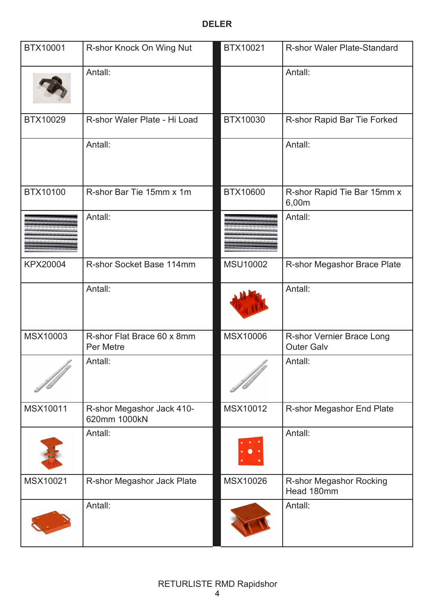| BTX10001        | R-shor Knock On Wing Nut                  | BTX10021        | <b>R-shor Waler Plate-Standard</b>             |
|-----------------|-------------------------------------------|-----------------|------------------------------------------------|
|                 | Antall:                                   |                 | Antall:                                        |
| BTX10029        | R-shor Waler Plate - Hi Load              | BTX10030        | R-shor Rapid Bar Tie Forked                    |
|                 | Antall:                                   |                 | Antall:                                        |
| BTX10100        | R-shor Bar Tie 15mm x 1m                  | BTX10600        | R-shor Rapid Tie Bar 15mm x<br>6,00m           |
|                 | Antall:                                   |                 | Antall:                                        |
| <b>KPX20004</b> | R-shor Socket Base 114mm                  | <b>MSU10002</b> | R-shor Megashor Brace Plate                    |
|                 | Antall:                                   |                 | Antall:                                        |
| MSX10003        | R-shor Flat Brace 60 x 8mm<br>Per Metre   | <b>MSX10006</b> | R-shor Vernier Brace Long<br><b>Outer Galv</b> |
|                 | Antall:                                   |                 | Antall:                                        |
| MSX10011        | R-shor Megashor Jack 410-<br>620mm 1000kN | MSX10012        | R-shor Megashor End Plate                      |
|                 | Antall:                                   |                 | Antall:                                        |
| MSX10021        | R-shor Megashor Jack Plate                | MSX10026        | R-shor Megashor Rocking<br>Head 180mm          |
|                 | Antall:                                   |                 | Antall:                                        |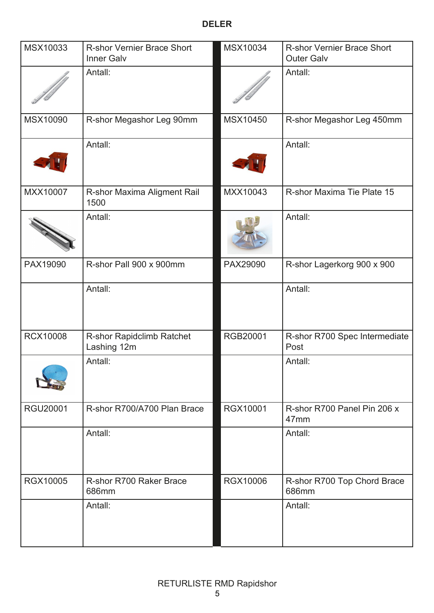| MSX10033        | R-shor Vernier Brace Short<br><b>Inner Galv</b> | MSX10034        | <b>R-shor Vernier Brace Short</b><br><b>Outer Galv</b> |
|-----------------|-------------------------------------------------|-----------------|--------------------------------------------------------|
|                 | Antall:                                         |                 | Antall:                                                |
| MSX10090        | R-shor Megashor Leg 90mm                        | MSX10450        | R-shor Megashor Leg 450mm                              |
|                 | Antall:                                         |                 | Antall:                                                |
| MXX10007        | R-shor Maxima Aligment Rail<br>1500             | MXX10043        | R-shor Maxima Tie Plate 15                             |
|                 | Antall:                                         |                 | Antall:                                                |
| PAX19090        | R-shor Pall 900 x 900mm                         | PAX29090        | R-shor Lagerkorg 900 x 900                             |
|                 | Antall:                                         |                 | Antall:                                                |
| <b>RCX10008</b> | R-shor Rapidclimb Ratchet<br>Lashing 12m        | RGB20001        | R-shor R700 Spec Intermediate<br>Post                  |
|                 | Antall:                                         |                 | Antall:                                                |
| <b>RGU20001</b> | R-shor R700/A700 Plan Brace                     | RGX10001        | R-shor R700 Panel Pin 206 x<br>47 <sub>mm</sub>        |
|                 | Antall:                                         |                 | Antall:                                                |
| <b>RGX10005</b> | R-shor R700 Raker Brace<br>686mm                | <b>RGX10006</b> | R-shor R700 Top Chord Brace<br>686mm                   |
|                 | Antall:                                         |                 | Antall:                                                |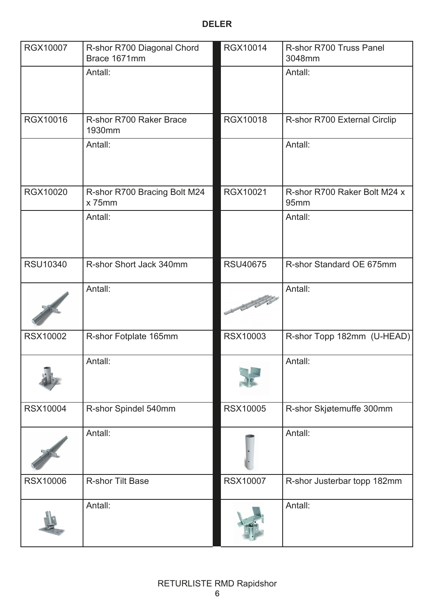| RGX10007        | R-shor R700 Diagonal Chord<br>Brace 1671mm | RGX10014               | R-shor R700 Truss Panel<br>3048mm    |
|-----------------|--------------------------------------------|------------------------|--------------------------------------|
|                 | Antall:                                    |                        | Antall:                              |
| RGX10016        | R-shor R700 Raker Brace<br>1930mm          | RGX10018               | R-shor R700 External Circlip         |
|                 | Antall:                                    |                        | Antall:                              |
| <b>RGX10020</b> | R-shor R700 Bracing Bolt M24<br>$x$ 75mm   | RGX10021               | R-shor R700 Raker Bolt M24 x<br>95mm |
|                 | Antall:                                    |                        | Antall:                              |
| <b>RSU10340</b> | R-shor Short Jack 340mm                    | <b>RSU40675</b>        | R-shor Standard OE 675mm             |
|                 | Antall:                                    | Charles Report Follows | Antall:                              |
| <b>RSX10002</b> | R-shor Fotplate 165mm                      | <b>RSX10003</b>        | R-shor Topp 182mm (U-HEAD)           |
|                 | Antall:                                    |                        | Antall:                              |
| <b>RSX10004</b> | R-shor Spindel 540mm                       | <b>RSX10005</b>        | R-shor Skjøtemuffe 300mm             |
|                 | Antall:                                    |                        | Antall:                              |
| <b>RSX10006</b> | <b>R-shor Tilt Base</b>                    | <b>RSX10007</b>        | R-shor Justerbar topp 182mm          |
|                 | Antall:                                    |                        | Antall:                              |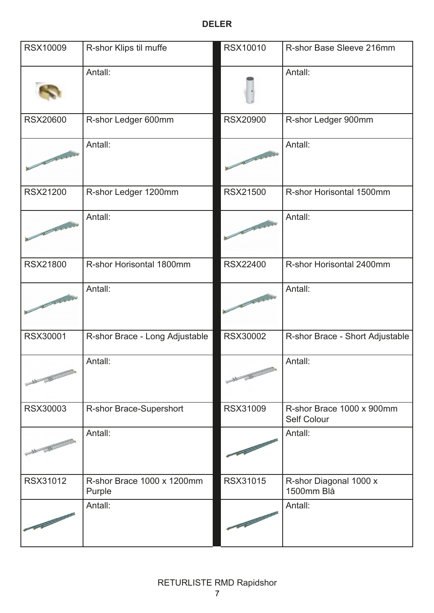| <b>RSX10009</b>                                                                                                                                                                                                                | R-shor Klips til muffe               | <b>RSX10010</b>                                                                                                                                                                                                                | R-shor Base Sleeve 216mm                 |
|--------------------------------------------------------------------------------------------------------------------------------------------------------------------------------------------------------------------------------|--------------------------------------|--------------------------------------------------------------------------------------------------------------------------------------------------------------------------------------------------------------------------------|------------------------------------------|
|                                                                                                                                                                                                                                | Antall:                              |                                                                                                                                                                                                                                | Antall:                                  |
| <b>RSX20600</b>                                                                                                                                                                                                                | R-shor Ledger 600mm                  | <b>RSX20900</b>                                                                                                                                                                                                                | R-shor Ledger 900mm                      |
| The Summer of the Summer of the Summer of the Summer of the Summer of the Summer of the Summer of the Summer of the Summer of the Summer of the Summer of the Summer of the Summer of the Summer of the Summer of the Summer o | Antall:                              | No of the Red Party                                                                                                                                                                                                            | Antall:                                  |
| <b>RSX21200</b>                                                                                                                                                                                                                | R-shor Ledger 1200mm                 | <b>RSX21500</b>                                                                                                                                                                                                                | R-shor Horisontal 1500mm                 |
| The South of the Party                                                                                                                                                                                                         | Antall:                              | A TAXABIA                                                                                                                                                                                                                      | Antall:                                  |
| <b>RSX21800</b>                                                                                                                                                                                                                | R-shor Horisontal 1800mm             | <b>RSX22400</b>                                                                                                                                                                                                                | R-shor Horisontal 2400mm                 |
| The Season of the Party                                                                                                                                                                                                        | Antall:                              | No. of the Local Division in the Local Division in the Local Division in the Local Division in the Local Division in the Local Division in the Local Division in the Local Division in the Local Division in the Local Divisio | Antall:                                  |
| RSX30001                                                                                                                                                                                                                       | R-shor Brace - Long Adjustable       | <b>RSX30002</b>                                                                                                                                                                                                                | R-shor Brace - Short Adjustable          |
| At By                                                                                                                                                                                                                          | Antall:                              | and the state of the local division in                                                                                                                                                                                         | Antall:                                  |
| RSX30003                                                                                                                                                                                                                       | R-shor Brace-Supershort              | <b>RSX31009</b>                                                                                                                                                                                                                | R-shor Brace 1000 x 900mm<br>Self Colour |
|                                                                                                                                                                                                                                | Antall:                              |                                                                                                                                                                                                                                | Antall:                                  |
| RSX31012                                                                                                                                                                                                                       | R-shor Brace 1000 x 1200mm<br>Purple | <b>RSX31015</b>                                                                                                                                                                                                                | R-shor Diagonal 1000 x<br>1500mm Blå     |
|                                                                                                                                                                                                                                | Antall:                              |                                                                                                                                                                                                                                | Antall:                                  |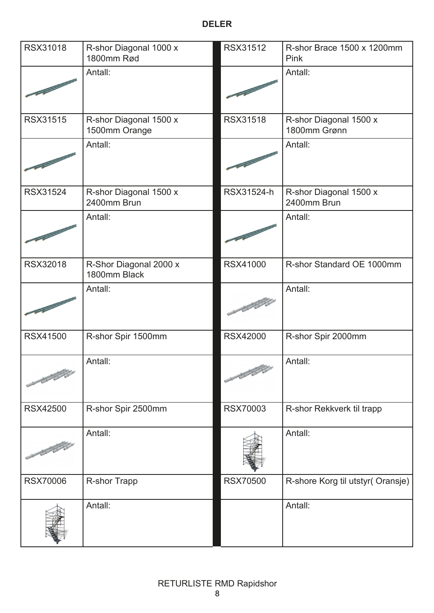| RSX31018        | R-shor Diagonal 1000 x<br>1800mm Rød    | RSX31512                             | R-shor Brace 1500 x 1200mm<br>Pink     |
|-----------------|-----------------------------------------|--------------------------------------|----------------------------------------|
|                 | Antall:                                 |                                      | Antall:                                |
| <b>RSX31515</b> | R-shor Diagonal 1500 x<br>1500mm Orange | <b>RSX31518</b>                      | R-shor Diagonal 1500 x<br>1800mm Grønn |
|                 | Antall:                                 |                                      | Antall:                                |
| <b>RSX31524</b> | R-shor Diagonal 1500 x<br>2400mm Brun   | RSX31524-h                           | R-shor Diagonal 1500 x<br>2400mm Brun  |
|                 | Antall:                                 |                                      | Antall:                                |
| <b>RSX32018</b> | R-Shor Diagonal 2000 x<br>1800mm Black  | <b>RSX41000</b>                      | R-shor Standard OE 1000mm              |
|                 | Antall:                                 | 2333                                 | Antall:                                |
| <b>RSX41500</b> | R-shor Spir 1500mm                      | <b>RSX42000</b>                      | R-shor Spir 2000mm                     |
| STATISTICS.     | Antall:                                 | No. of Canada and Street, one of the | Antall:                                |
| <b>RSX42500</b> | R-shor Spir 2500mm                      | <b>RSX70003</b>                      | R-shor Rekkverk til trapp              |
|                 | Antall:                                 |                                      | Antall:                                |
| <b>RSX70006</b> | <b>R-shor Trapp</b>                     | <b>RSX70500</b>                      | R-shore Korg til utstyr(Oransje)       |
|                 | Antall:                                 |                                      | Antall:                                |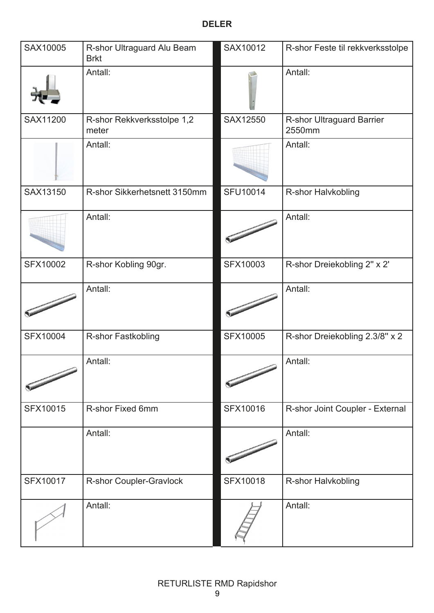| SAX10005        | R-shor Ultraguard Alu Beam<br><b>Brkt</b> | SAX10012        | R-shor Feste til rekkverksstolpe           |
|-----------------|-------------------------------------------|-----------------|--------------------------------------------|
|                 | Antall:                                   |                 | Antall:                                    |
| SAX11200        | R-shor Rekkverksstolpe 1,2<br>meter       | SAX12550        | <b>R-shor Ultraguard Barrier</b><br>2550mm |
|                 | Antall:                                   |                 | Antall:                                    |
| SAX13150        | R-shor Sikkerhetsnett 3150mm              | <b>SFU10014</b> | R-shor Halvkobling                         |
|                 | Antall:                                   |                 | Antall:                                    |
| <b>SFX10002</b> | R-shor Kobling 90gr.                      | <b>SFX10003</b> | R-shor Dreiekobling 2" x 2"                |
|                 | Antall:                                   |                 | Antall:                                    |
| <b>SFX10004</b> | R-shor Fastkobling                        | <b>SFX10005</b> | R-shor Dreiekobling 2.3/8" x 2             |
|                 | Antall:                                   |                 | Antall:                                    |
| SFX10015        | R-shor Fixed 6mm                          | SFX10016        | R-shor Joint Coupler - External            |
|                 | Antall:                                   |                 | Antall:                                    |
| SFX10017        | R-shor Coupler-Gravlock                   | <b>SFX10018</b> | R-shor Halvkobling                         |
|                 | Antall:                                   |                 | Antall:                                    |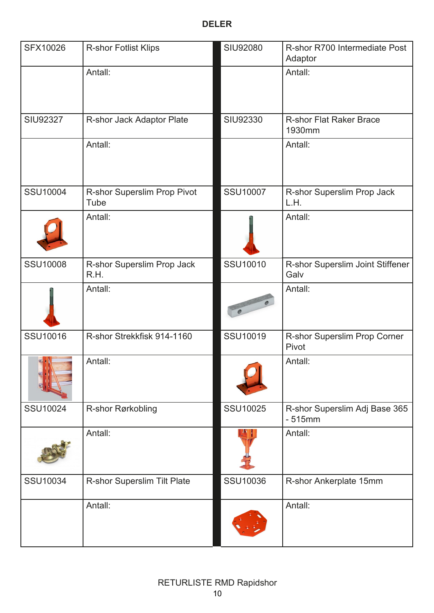| SFX10026                 | <b>R-shor Fotlist Klips</b>         | <b>SIU92080</b> | R-shor R700 Intermediate Post<br>Adaptor  |
|--------------------------|-------------------------------------|-----------------|-------------------------------------------|
|                          | Antall:                             |                 | Antall:                                   |
| <b>SIU92327</b>          | R-shor Jack Adaptor Plate           | SIU92330        | <b>R-shor Flat Raker Brace</b><br>1930mm  |
|                          | Antall:                             |                 | Antall:                                   |
| <b>SSU10004</b>          | R-shor Superslim Prop Pivot<br>Tube | <b>SSU10007</b> | R-shor Superslim Prop Jack<br>L.H.        |
|                          | Antall:                             |                 | Antall:                                   |
| <b>SSU10008</b>          | R-shor Superslim Prop Jack<br>R.H.  | SSU10010        | R-shor Superslim Joint Stiffener<br>Galv  |
|                          | Antall:                             |                 | Antall:                                   |
| SSU10016                 | R-shor Strekkfisk 914-1160          | SSU10019        | R-shor Superslim Prop Corner<br>Pivot     |
| $\mathbb{R}$ ( $\lambda$ | Antall:                             |                 | Antall:                                   |
| SSU10024                 | R-shor Rørkobling                   | <b>SSU10025</b> | R-shor Superslim Adj Base 365<br>$-515mm$ |
|                          | Antall:                             |                 | Antall:                                   |
| SSU10034                 | R-shor Superslim Tilt Plate         | SSU10036        | R-shor Ankerplate 15mm                    |
|                          | Antall:                             |                 | Antall:                                   |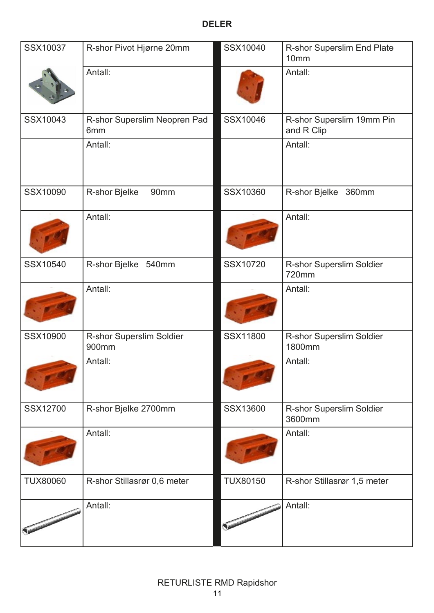| SSX10037        | R-shor Pivot Hjørne 20mm            | SSX10040        | R-shor Superslim End Plate<br>10mm      |
|-----------------|-------------------------------------|-----------------|-----------------------------------------|
|                 | Antall:                             |                 | Antall:                                 |
| SSX10043        | R-shor Superslim Neopren Pad<br>6mm | SSX10046        | R-shor Superslim 19mm Pin<br>and R Clip |
|                 | Antall:                             |                 | Antall:                                 |
| SSX10090        | R-shor Bjelke<br>90mm               | SSX10360        | R-shor Bjelke 360mm                     |
|                 | Antall:                             |                 | Antall:                                 |
| SSX10540        | R-shor Bjelke 540mm                 | SSX10720        | R-shor Superslim Soldier<br>720mm       |
|                 | Antall:                             |                 | Antall:                                 |
| SSX10900        | R-shor Superslim Soldier<br>900mm   | SSX11800        | R-shor Superslim Soldier<br>1800mm      |
|                 | Antall:                             |                 | Antall:                                 |
| SSX12700        | R-shor Bjelke 2700mm                | SSX13600        | R-shor Superslim Soldier<br>3600mm      |
|                 | Antall:                             |                 | Antall:                                 |
| <b>TUX80060</b> | R-shor Stillasrør 0,6 meter         | <b>TUX80150</b> | R-shor Stillasrør 1,5 meter             |
|                 | Antall:                             |                 | Antall:                                 |